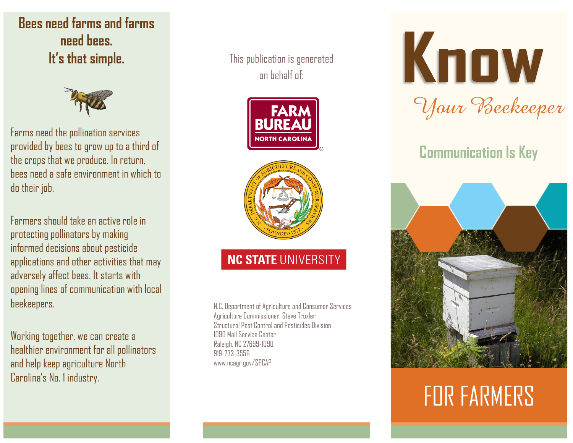**Bees need farms and farms need bees. It's that simple.**



Farms need the pollination services provided by bees to grow up to a third of the crops that we produce. In return, bees need a safe environment in which to do their job.

Farmers should take an active role in protecting pollinators by making informed decisions about pesticide applications and other activities that may adversely affect bees. It starts with opening lines of communication with local beekeepers.

Working together, we can create a healthier environment for all pollinators and help keep agriculture North Carolina's No. 1 industry.

This publication is generated on behalf of:





## **NC STATE UNIVERSITY**

N.C. Department of Agriculture and Consumer Services Agriculture Commissioner, Steve Troxler Structural Pest Control and Pesticides Division 1090 Mail Service Center Raleigh, NC 27699-1090 919-733-3556 www.ncagr.gov/SPCAP

# Know *Your Beekeeper*

# **Communication Is Key**



# FOR FARMERS